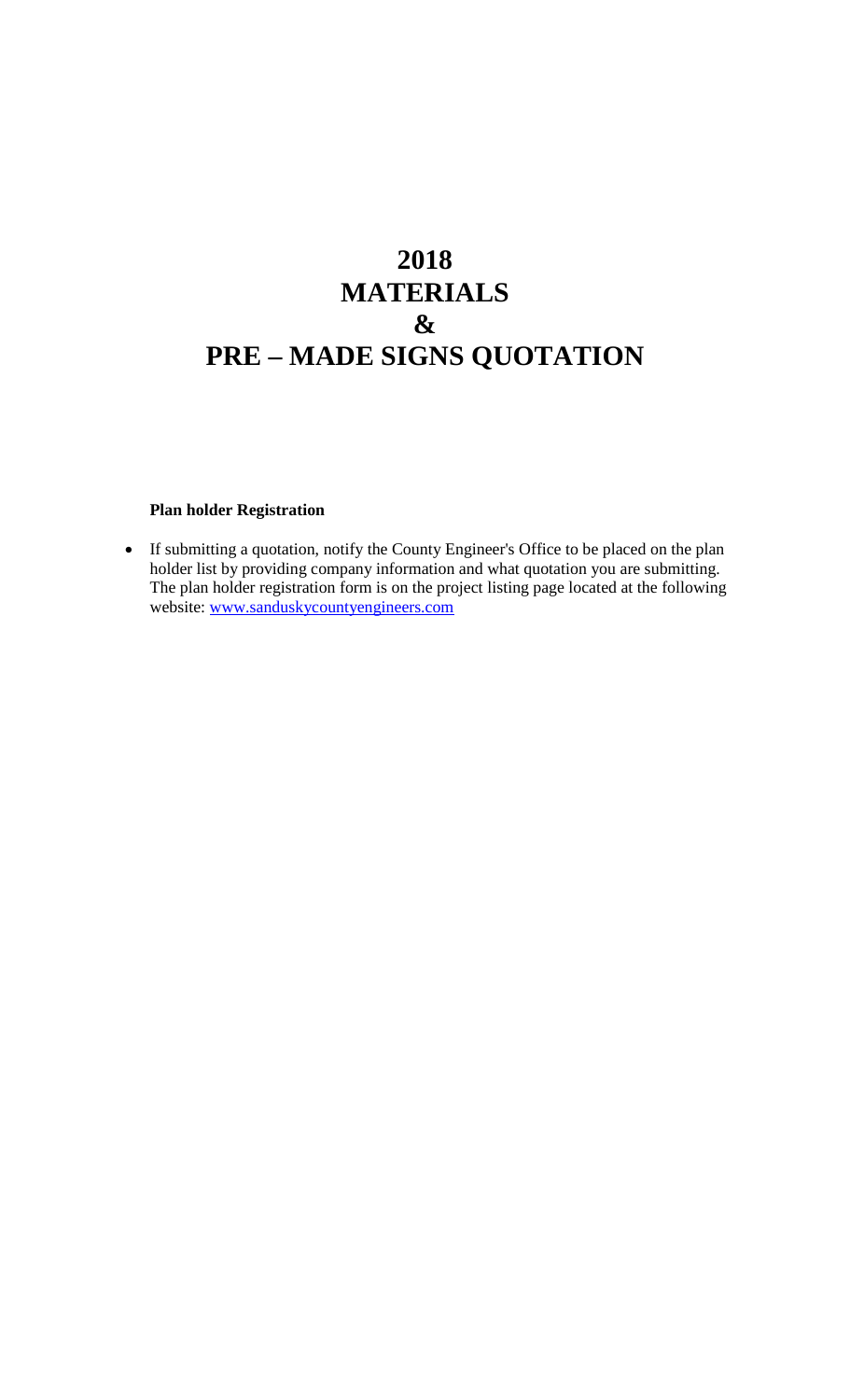# **2018 MATERIALS & PRE – MADE SIGNS QUOTATION**

#### **Plan holder Registration**

• If submitting a quotation, notify the County Engineer's Office to be placed on the plan holder list by providing company information and what quotation you are submitting. The plan holder registration form is on the project listing page located at the following website: [www.sanduskycountyengineers.com](http://www.sanduskycountyengineers.com/)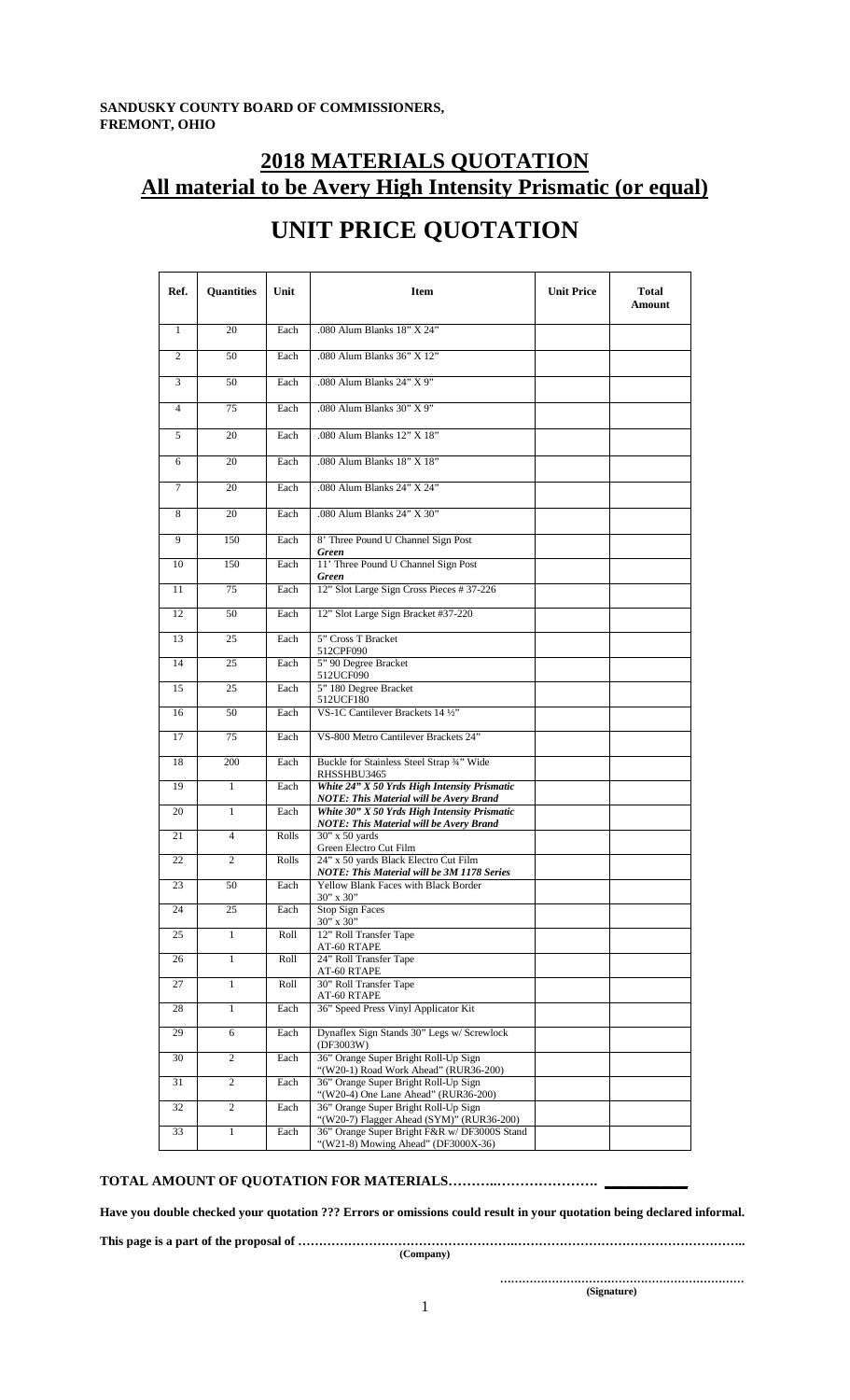### **2018 MATERIALS QUOTATION All material to be Avery High Intensity Prismatic (or equal)**

| Ref.           | <b>Quantities</b> | Unit  | <b>Item</b>                                                                                    | <b>Unit Price</b> | <b>Total</b><br>Amount |
|----------------|-------------------|-------|------------------------------------------------------------------------------------------------|-------------------|------------------------|
| $\mathbf{1}$   | 20                | Each  | .080 Alum Blanks 18" X 24"                                                                     |                   |                        |
| $\overline{c}$ | 50                | Each  | .080 Alum Blanks 36" X 12"                                                                     |                   |                        |
| 3              | 50                | Each  | .080 Alum Blanks 24" X 9"                                                                      |                   |                        |
| $\overline{4}$ | 75                | Each  | .080 Alum Blanks 30" X 9"                                                                      |                   |                        |
| 5              | 20                | Each  | .080 Alum Blanks 12" X 18"                                                                     |                   |                        |
| 6              | 20                | Each  | .080 Alum Blanks 18" X 18"                                                                     |                   |                        |
| 7              | 20                | Each  | .080 Alum Blanks 24" X 24"                                                                     |                   |                        |
| 8              | 20                | Each  | .080 Alum Blanks 24" X 30"                                                                     |                   |                        |
| $\mathbf{Q}$   | 150               | Each  | 8' Three Pound U Channel Sign Post<br><b>Green</b>                                             |                   |                        |
| 10             | 150               | Each  | 11' Three Pound U Channel Sign Post<br><b>Green</b>                                            |                   |                        |
| 11             | 75                | Each  | 12" Slot Large Sign Cross Pieces # 37-226                                                      |                   |                        |
| 12             | 50                | Each  | 12" Slot Large Sign Bracket #37-220                                                            |                   |                        |
| 13             | 25                | Each  | 5" Cross T Bracket<br>512CPF090                                                                |                   |                        |
| 14             | 25                | Each  | 5" 90 Degree Bracket<br>512UCF090                                                              |                   |                        |
| 15             | 25                | Each  | 5" 180 Degree Bracket<br>512UCF180                                                             |                   |                        |
| 16             | 50                | Each  | VS-1C Cantilever Brackets 14 1/2"                                                              |                   |                        |
| 17             | 75                | Each  | VS-800 Metro Cantilever Brackets 24"                                                           |                   |                        |
| 18             | 200               | Each  | Buckle for Stainless Steel Strap 3/4" Wide<br>RHSSHBU3465                                      |                   |                        |
| 19             | 1                 | Each  | White 24" X 50 Yrds High Intensity Prismatic<br><b>NOTE: This Material will be Avery Brand</b> |                   |                        |
| 20             | 1                 | Each  | White 30" X 50 Yrds High Intensity Prismatic<br><b>NOTE: This Material will be Avery Brand</b> |                   |                        |
| 21             | $\overline{4}$    | Rolls | 30" x 50 yards<br>Green Electro Cut Film                                                       |                   |                        |
| 22             | 2                 | Rolls | 24" x 50 yards Black Electro Cut Film<br><b>NOTE: This Material will be 3M 1178 Series</b>     |                   |                        |
| 23             | 50                | Each  | Yellow Blank Faces with Black Border<br>$30"$ x $30"$                                          |                   |                        |
| 24             | 25                | Each  | <b>Stop Sign Faces</b><br>30" x 30"                                                            |                   |                        |
| 25             | $\mathbf{1}$      | Roll  | 12" Roll Transfer Tape<br>AT-60 RTAPE                                                          |                   |                        |
| 26             | $\mathbf{1}$      | Roll  | 24" Roll Transfer Tape<br>AT-60 RTAPE                                                          |                   |                        |
| 27             | $\mathbf{1}$      | Roll  | 30" Roll Transfer Tape<br>AT-60 RTAPE                                                          |                   |                        |
| 28             | $\mathbf{1}$      | Each  | 36" Speed Press Vinyl Applicator Kit                                                           |                   |                        |
| 29             | 6                 | Each  | Dynaflex Sign Stands 30" Legs w/ Screwlock<br>(DF3003W)                                        |                   |                        |
| 30             | $\overline{c}$    | Each  | 36" Orange Super Bright Roll-Up Sign<br>"(W20-1) Road Work Ahead" (RUR36-200)                  |                   |                        |
| 31             | $\overline{c}$    | Each  | 36" Orange Super Bright Roll-Up Sign<br>"(W20-4) One Lane Ahead" (RUR36-200)                   |                   |                        |
| 32             | $\overline{c}$    | Each  | 36" Orange Super Bright Roll-Up Sign<br>"(W20-7) Flagger Ahead (SYM)" (RUR36-200)              |                   |                        |
| 33             | $\mathbf{1}$      | Each  | 36" Orange Super Bright F&R w/ DF3000S Stand<br>"(W21-8) Mowing Ahead" (DF3000X-36)            |                   |                        |

## **UNIT PRICE QUOTATION**

#### **TOTAL AMOUNT OF QUOTATION FOR MATERIALS………..…………………. \_\_\_\_\_\_\_\_\_\_\_\_**

**Have you double checked your quotation ??? Errors or omissions could result in your quotation being declared informal.**

**This page is a part of the proposal of …………………………………………….………………………………………………..**

**(Company)**

**………………………………………………………… (Signature)**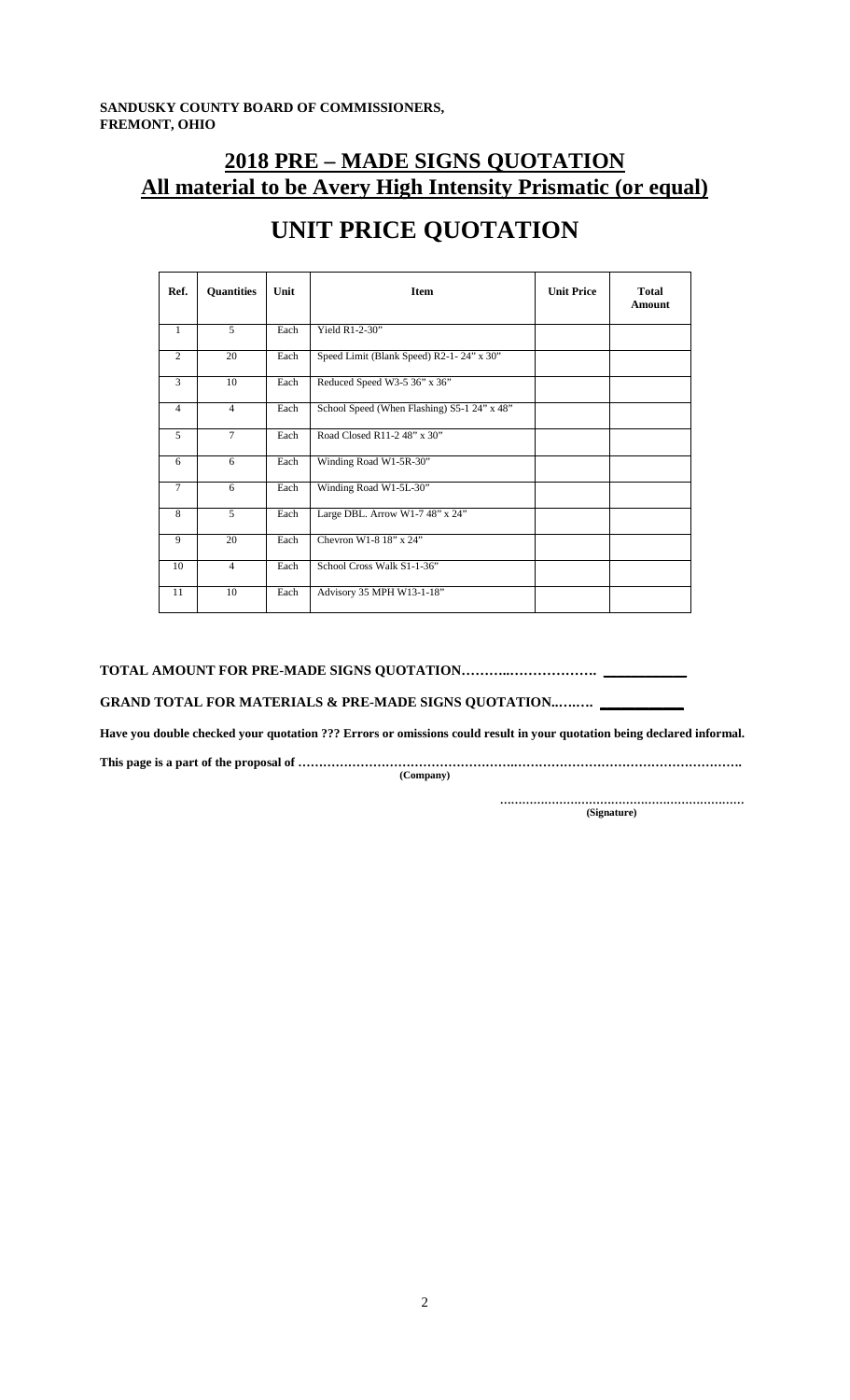**SANDUSKY COUNTY BOARD OF COMMISSIONERS, FREMONT, OHIO**

### **2018 PRE – MADE SIGNS QUOTATION All material to be Avery High Intensity Prismatic (or equal)**

| Ref.           | <b>Quantities</b> | Unit | <b>Item</b>                                 | <b>Unit Price</b> | <b>Total</b><br>Amount |
|----------------|-------------------|------|---------------------------------------------|-------------------|------------------------|
| $\mathbf{1}$   | 5                 | Each | Yield $R1-2-30"$                            |                   |                        |
| 2              | 20                | Each | Speed Limit (Blank Speed) R2-1-24" x 30"    |                   |                        |
| 3              | 10                | Each | Reduced Speed W3-5 36" x 36"                |                   |                        |
| $\overline{4}$ | $\overline{4}$    | Each | School Speed (When Flashing) S5-1 24" x 48" |                   |                        |
| $\mathfrak{F}$ | $\tau$            | Each | Road Closed R11-2 48" x 30"                 |                   |                        |
| 6              | 6                 | Each | Winding Road W1-5R-30"                      |                   |                        |
| $\tau$         | 6                 | Each | Winding Road W1-5L-30"                      |                   |                        |
| 8              | 5                 | Each | Large DBL. Arrow W1-7 48" x 24"             |                   |                        |
| $\mathbf{Q}$   | 20                | Each | Chevron W1-8 18" x 24"                      |                   |                        |
| 10             | $\overline{4}$    | Each | School Cross Walk S1-1-36"                  |                   |                        |
| 11             | 10                | Each | Advisory 35 MPH W13-1-18"                   |                   |                        |

## **UNIT PRICE QUOTATION**

**TOTAL AMOUNT FOR PRE-MADE SIGNS QUOTATION………..………………. \_\_\_\_\_\_\_\_\_\_\_\_**

**GRAND TOTAL FOR MATERIALS & PRE-MADE SIGNS QUOTATION..….…. \_\_\_\_\_\_\_\_\_\_\_\_**

**Have you double checked your quotation ??? Errors or omissions could result in your quotation being declared informal.**

**This page is a part of the proposal of …………………………………………….……………………………………………….**

**(Company)**

**………………………………………………………… (Signature)**

2